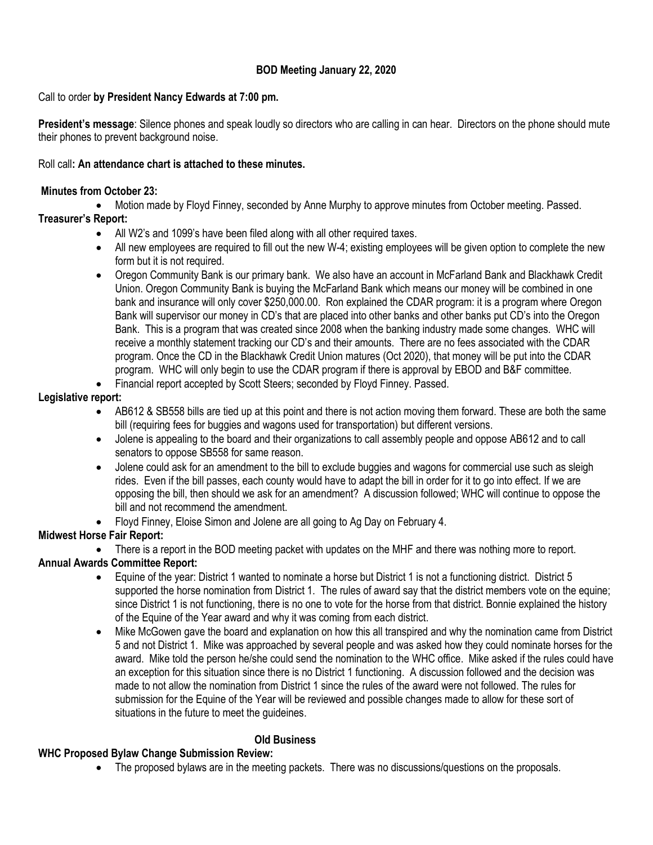# **BOD Meeting January 22, 2020**

### Call to order **by President Nancy Edwards at 7:00 pm.**

**President's message**: Silence phones and speak loudly so directors who are calling in can hear. Directors on the phone should mute their phones to prevent background noise.

#### Roll call**: An attendance chart is attached to these minutes.**

#### **Minutes from October 23:**

Motion made by Floyd Finney, seconded by Anne Murphy to approve minutes from October meeting. Passed.

# **Treasurer's Report:**

- All W2's and 1099's have been filed along with all other required taxes.
- All new employees are required to fill out the new W-4; existing employees will be given option to complete the new form but it is not required.
- Oregon Community Bank is our primary bank. We also have an account in McFarland Bank and Blackhawk Credit Union. Oregon Community Bank is buying the McFarland Bank which means our money will be combined in one bank and insurance will only cover \$250,000.00. Ron explained the CDAR program: it is a program where Oregon Bank will supervisor our money in CD's that are placed into other banks and other banks put CD's into the Oregon Bank. This is a program that was created since 2008 when the banking industry made some changes. WHC will receive a monthly statement tracking our CD's and their amounts. There are no fees associated with the CDAR program. Once the CD in the Blackhawk Credit Union matures (Oct 2020), that money will be put into the CDAR program. WHC will only begin to use the CDAR program if there is approval by EBOD and B&F committee.
- Financial report accepted by Scott Steers; seconded by Floyd Finney. Passed.

### **Legislative report:**

- AB612 & SB558 bills are tied up at this point and there is not action moving them forward. These are both the same bill (requiring fees for buggies and wagons used for transportation) but different versions.
- Jolene is appealing to the board and their organizations to call assembly people and oppose AB612 and to call senators to oppose SB558 for same reason.
- Jolene could ask for an amendment to the bill to exclude buggies and wagons for commercial use such as sleigh rides. Even if the bill passes, each county would have to adapt the bill in order for it to go into effect. If we are opposing the bill, then should we ask for an amendment? A discussion followed; WHC will continue to oppose the bill and not recommend the amendment.
- Floyd Finney, Eloise Simon and Jolene are all going to Ag Day on February 4.

# **Midwest Horse Fair Report:**

 There is a report in the BOD meeting packet with updates on the MHF and there was nothing more to report. **Annual Awards Committee Report:**

- Equine of the year: District 1 wanted to nominate a horse but District 1 is not a functioning district. District 5 supported the horse nomination from District 1. The rules of award say that the district members vote on the equine; since District 1 is not functioning, there is no one to vote for the horse from that district. Bonnie explained the history of the Equine of the Year award and why it was coming from each district.
- Mike McGowen gave the board and explanation on how this all transpired and why the nomination came from District 5 and not District 1. Mike was approached by several people and was asked how they could nominate horses for the award. Mike told the person he/she could send the nomination to the WHC office. Mike asked if the rules could have an exception for this situation since there is no District 1 functioning. A discussion followed and the decision was made to not allow the nomination from District 1 since the rules of the award were not followed. The rules for submission for the Equine of the Year will be reviewed and possible changes made to allow for these sort of situations in the future to meet the guideines.

### **Old Business**

### **WHC Proposed Bylaw Change Submission Review:**

• The proposed bylaws are in the meeting packets. There was no discussions/questions on the proposals.